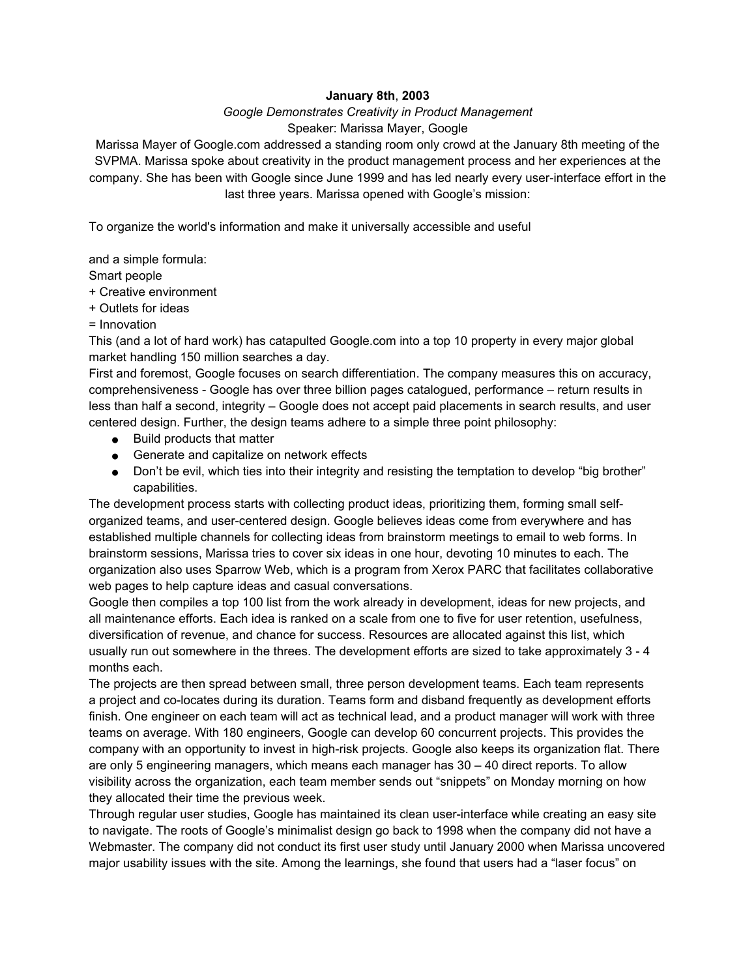## **January 8th**, **2003**

## *Google Demonstrates Creativity in Product Management* Speaker: Marissa Mayer, Google

Marissa Mayer of Google.com addressed a standing room only crowd at the January 8th meeting of the SVPMA. Marissa spoke about creativity in the product management process and her experiences at the company. She has been with Google since June 1999 and has led nearly every user-interface effort in the last three years. Marissa opened with Google's mission:

To organize the world's information and make it universally accessible and useful

and a simple formula:

Smart people

+ Creative environment

+ Outlets for ideas

= Innovation

This (and a lot of hard work) has catapulted Google.com into a top 10 property in every major global market handling 150 million searches a day.

First and foremost, Google focuses on search differentiation. The company measures this on accuracy, comprehensiveness - Google has over three billion pages catalogued, performance – return results in less than half a second, integrity – Google does not accept paid placements in search results, and user centered design. Further, the design teams adhere to a simple three point philosophy:

- Build products that matter
- Generate and capitalize on network effects
- Don't be evil, which ties into their integrity and resisting the temptation to develop "big brother" capabilities.

The development process starts with collecting product ideas, prioritizing them, forming small selforganized teams, and user-centered design. Google believes ideas come from everywhere and has established multiple channels for collecting ideas from brainstorm meetings to email to web forms. In brainstorm sessions, Marissa tries to cover six ideas in one hour, devoting 10 minutes to each. The organization also uses Sparrow Web, which is a program from Xerox PARC that facilitates collaborative web pages to help capture ideas and casual conversations.

Google then compiles a top 100 list from the work already in development, ideas for new projects, and all maintenance efforts. Each idea is ranked on a scale from one to five for user retention, usefulness, diversification of revenue, and chance for success. Resources are allocated against this list, which usually run out somewhere in the threes. The development efforts are sized to take approximately 3 - 4 months each.

The projects are then spread between small, three person development teams. Each team represents a project and co-locates during its duration. Teams form and disband frequently as development efforts finish. One engineer on each team will act as technical lead, and a product manager will work with three teams on average. With 180 engineers, Google can develop 60 concurrent projects. This provides the company with an opportunity to invest in high-risk projects. Google also keeps its organization flat. There are only 5 engineering managers, which means each manager has 30 – 40 direct reports. To allow visibility across the organization, each team member sends out "snippets" on Monday morning on how they allocated their time the previous week.

Through regular user studies, Google has maintained its clean user-interface while creating an easy site to navigate. The roots of Google's minimalist design go back to 1998 when the company did not have a Webmaster. The company did not conduct its first user study until January 2000 when Marissa uncovered major usability issues with the site. Among the learnings, she found that users had a "laser focus" on